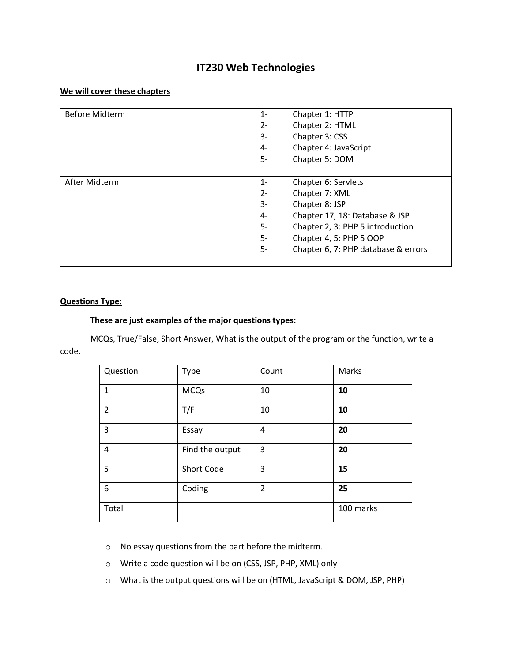# **IT230 Web Technologies**

#### **We will cover these chapters**

| <b>Before Midterm</b> | $1 -$<br>Chapter 1: HTTP                  |
|-----------------------|-------------------------------------------|
|                       | Chapter 2: HTML<br>$2 -$                  |
|                       | Chapter 3: CSS<br>3-                      |
|                       | Chapter 4: JavaScript<br>4-               |
|                       | 5-<br>Chapter 5: DOM                      |
|                       |                                           |
| After Midterm         | Chapter 6: Servlets<br>$1 -$              |
|                       | $2 -$<br>Chapter 7: XML                   |
|                       | Chapter 8: JSP<br>3-                      |
|                       | Chapter 17, 18: Database & JSP<br>$4-$    |
|                       | $5-$<br>Chapter 2, 3: PHP 5 introduction  |
|                       | 5-<br>Chapter 4, 5: PHP 5 OOP             |
|                       | 5-<br>Chapter 6, 7: PHP database & errors |
|                       |                                           |

#### **Questions Type:**

#### **These are just examples of the major questions types:**

MCQs, True/False, Short Answer, What is the output of the program or the function, write a code.

| Question       | Type            | Count          | Marks     |
|----------------|-----------------|----------------|-----------|
| $\mathbf{1}$   | <b>MCQs</b>     | 10             | 10        |
| $\overline{2}$ | T/F             | 10             | 10        |
| 3              | Essay           | 4              | 20        |
| $\overline{4}$ | Find the output | 3              | 20        |
| 5              | Short Code      | 3              | 15        |
| 6              | Coding          | $\overline{2}$ | 25        |
| Total          |                 |                | 100 marks |

o No essay questions from the part before the midterm.

o Write a code question will be on (CSS, JSP, PHP, XML) only

o What is the output questions will be on (HTML, JavaScript & DOM, JSP, PHP)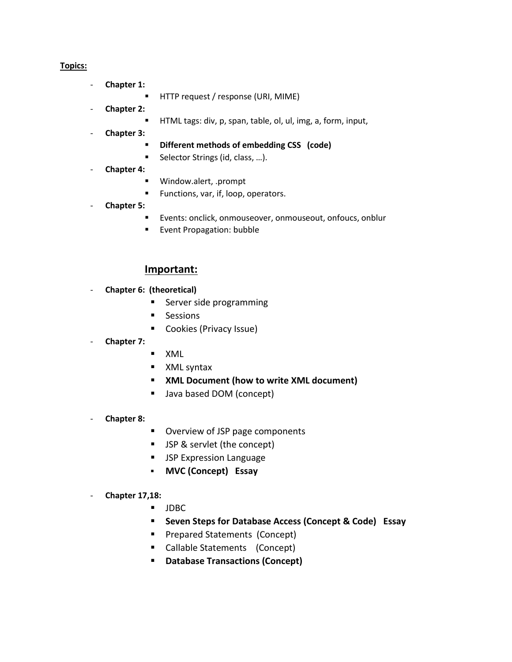## **Topics:**

- **Chapter 1:**
	- **F** HTTP request / response (URI, MIME)
- **Chapter 2:**
	- HTML tags: div, p, span, table, ol, ul, img, a, form, input,
- **Chapter 3:**
	- **Different methods of embedding CSS (code)**
	- Selector Strings (id, class, ...).
- **Chapter 4:**
	- Window.alert, .prompt
	- **Functions, var, if, loop, operators.**
- **Chapter 5:**
	- Events: onclick, onmouseover, onmouseout, onfoucs, onblur
	- **Event Propagation: bubble**

# **Important:**

- **Chapter 6: (theoretical)**
	- Server side programming
	- **Sessions**
	- Cookies (Privacy Issue)
- **Chapter 7:**
- XML
- **NO XML syntax**
- **XML Document (how to write XML document)**
- Java based DOM (concept)
- **Chapter 8:**
- Overview of JSP page components
- **JSP & servlet (the concept)**
- **JSP Expression Language**
- **MVC (Concept) Essay**

### - **Chapter 17,18:**

- JDBC
- **Seven Steps for Database Access (Concept & Code) Essay**
- **Prepared Statements (Concept)**
- Callable Statements (Concept)
- **Database Transactions (Concept)**